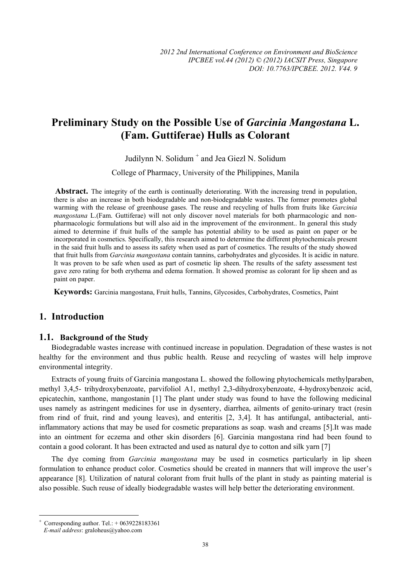# **Preliminary Study on the Possible Use of** *Garcinia Mangostana* **L. (Fam. Guttiferae) Hulls as Colorant**

Judilynn N. Solidum<sup>+</sup> and Jea Giezl N. Solidum

College of Pharmacy, University of the Philippines, Manila

 **Abstract.** The integrity of the earth is continually deteriorating. With the increasing trend in population, there is also an increase in both biodegradable and non-biodegradable wastes. The former promotes global warming with the release of greenhouse gases. The reuse and recycling of hulls from fruits like *Garcinia mangostana* L.(Fam. Guttiferae) will not only discover novel materials for both pharmacologic and nonpharmacologic formulations but will also aid in the improvement of the environment.. In general this study aimed to determine if fruit hulls of the sample has potential ability to be used as paint on paper or be incorporated in cosmetics. Specifically, this research aimed to determine the different phytochemicals present in the said fruit hulls and to assess its safety when used as part of cosmetics. The results of the study showed that fruit hulls from *Garcinia mangostana* contain tannins, carbohydrates and glycosides. It is acidic in nature. It was proven to be safe when used as part of cosmetic lip sheen. The results of the safety assessment test gave zero rating for both erythema and edema formation. It showed promise as colorant for lip sheen and as paint on paper.

**Keywords:** Garcinia mangostana, Fruit hulls, Tannins, Glycosides, Carbohydrates, Cosmetics, Paint

## **1. Introduction**

#### **1.1. Background of the Study**

Biodegradable wastes increase with continued increase in population. Degradation of these wastes is not healthy for the environment and thus public health. Reuse and recycling of wastes will help improve environmental integrity.

Extracts of young fruits of Garcinia mangostana L. showed the following phytochemicals methylparaben, methyl 3,4,5- trihydroxybenzoate, parvifoliol A1, methyl 2,3-dihydroxybenzoate, 4-hydroxybenzoic acid, epicatechin, xanthone, mangostanin [1] The plant under study was found to have the following medicinal uses namely as astringent medicines for use in dysentery, diarrhea, ailments of genito-urinary tract (resin from rind of fruit, rind and young leaves), and enteritis [2, 3,4]. It has antifungal, antibacterial, antiinflammatory actions that may be used for cosmetic preparations as soap. wash and creams [5].It was made into an ointment for eczema and other skin disorders [6]. Garcinia mangostana rind had been found to contain a good colorant. It has been extracted and used as natural dye to cotton and silk yarn [7]

The dye coming from *Garcinia mangostana* may be used in cosmetics particularly in lip sheen formulation to enhance product color. Cosmetics should be created in manners that will improve the user's appearance [8]. Utilization of natural colorant from fruit hulls of the plant in study as painting material is also possible. Such reuse of ideally biodegradable wastes will help better the deteriorating environment.

 $\overline{\phantom{a}}$ 

<sup>+</sup> Corresponding author. Tel.: + 0639228183361

*E-mail address*: graloheus@yahoo.com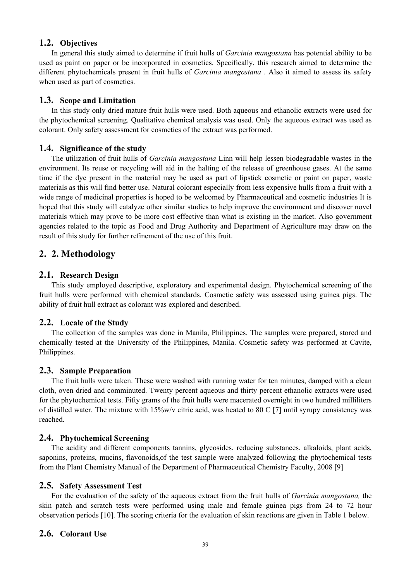#### **1.2. Objectives**

In general this study aimed to determine if fruit hulls of *Garcinia mangostana* has potential ability to be used as paint on paper or be incorporated in cosmetics. Specifically, this research aimed to determine the different phytochemicals present in fruit hulls of *Garcinia mangostana* . Also it aimed to assess its safety when used as part of cosmetics.

#### **1.3. Scope and Limitation**

In this study only dried mature fruit hulls were used. Both aqueous and ethanolic extracts were used for the phytochemical screening. Qualitative chemical analysis was used. Only the aqueous extract was used as colorant. Only safety assessment for cosmetics of the extract was performed.

#### **1.4. Significance of the study**

The utilization of fruit hulls of *Garcinia mangostana* Linn will help lessen biodegradable wastes in the environment. Its reuse or recycling will aid in the halting of the release of greenhouse gases. At the same time if the dye present in the material may be used as part of lipstick cosmetic or paint on paper, waste materials as this will find better use. Natural colorant especially from less expensive hulls from a fruit with a wide range of medicinal properties is hoped to be welcomed by Pharmaceutical and cosmetic industries It is hoped that this study will catalyze other similar studies to help improve the environment and discover novel materials which may prove to be more cost effective than what is existing in the market. Also government agencies related to the topic as Food and Drug Authority and Department of Agriculture may draw on the result of this study for further refinement of the use of this fruit.

## **2. 2. Methodology**

#### **2.1. Research Design**

This study employed descriptive, exploratory and experimental design. Phytochemical screening of the fruit hulls were performed with chemical standards. Cosmetic safety was assessed using guinea pigs. The ability of fruit hull extract as colorant was explored and described.

## **2.2. Locale of the Study**

The collection of the samples was done in Manila, Philippines. The samples were prepared, stored and chemically tested at the University of the Philippines, Manila. Cosmetic safety was performed at Cavite, Philippines.

#### **2.3. Sample Preparation**

The fruit hulls were taken. These were washed with running water for ten minutes, damped with a clean cloth, oven dried and comminuted. Twenty percent aqueous and thirty percent ethanolic extracts were used for the phytochemical tests. Fifty grams of the fruit hulls were macerated overnight in two hundred milliliters of distilled water. The mixture with 15%w/v citric acid, was heated to 80 C [7] until syrupy consistency was reached.

#### **2.4. Phytochemical Screening**

The acidity and different components tannins, glycosides, reducing substances, alkaloids, plant acids, saponins, proteins, mucins, flavonoids,of the test sample were analyzed following the phytochemical tests from the Plant Chemistry Manual of the Department of Pharmaceutical Chemistry Faculty, 2008 [9]

#### **2.5. Safety Assessment Test**

For the evaluation of the safety of the aqueous extract from the fruit hulls of *Garcinia mangostana,* the skin patch and scratch tests were performed using male and female guinea pigs from 24 to 72 hour observation periods [10]. The scoring criteria for the evaluation of skin reactions are given in Table 1 below.

## **2.6. Colorant Use**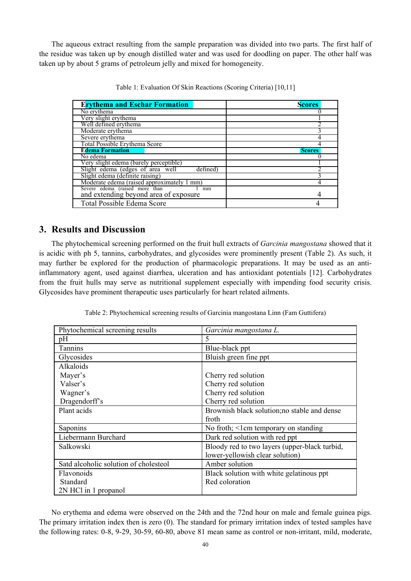The aqueous extract resulting from the sample preparation was divided into two parts. The first half of the residue was taken up by enough distilled water and was used for doodling on paper. The other half was taken up by about 5 grams of petroleum jelly and mixed for homogeneity.

| <b>Erythema and Eschar Formation</b>                                             | <b>Scores</b> |
|----------------------------------------------------------------------------------|---------------|
| No erythema                                                                      |               |
| Very slight erythema                                                             |               |
| Well defined erythema                                                            |               |
| Moderate erythema                                                                |               |
| Severe erythema                                                                  |               |
| Total Possible Erythema Score                                                    |               |
| <b>Edema Formation</b>                                                           | <b>Scores</b> |
| No edema                                                                         |               |
| Very slight edema (barely perceptible)                                           |               |
| Slight edema (edges of area well<br>defined)                                     |               |
| Slight edema (definite raising)                                                  |               |
| Moderate edema (raised approximately 1 mm)                                       |               |
| Severe edema (raised more than 1)<br>and extending beyond area of exposure<br>mm |               |
| Total Possible Edema Score                                                       |               |

Table 1: Evaluation Of Skin Reactions (Scoring Criteria) [10,11]

## **3. Results and Discussion**

The phytochemical screening performed on the fruit hull extracts of *Garcinia mangostana* showed that it is acidic with ph 5, tannins, carbohydrates, and glycosides were prominently present (Table 2). As such, it may further be explored for the production of pharmacologic preparations. It may be used as an antiinflammatory agent, used against diarrhea, ulceration and has antioxidant potentials [12]. Carbohydrates from the fruit hulls may serve as nutritional supplement especially with impending food security crisis. Glycosides have prominent therapeutic uses particularly for heart related ailments.

| Phytochemical screening results       | Garcinia mangostana L.                        |
|---------------------------------------|-----------------------------------------------|
| pH                                    | 5                                             |
| Tannins                               | Blue-black ppt                                |
| Glycosides                            | Bluish green fine ppt                         |
| Alkaloids                             |                                               |
| Mayer's                               | Cherry red solution                           |
| Valser's                              | Cherry red solution                           |
| Wagner's                              | Cherry red solution                           |
| Dragendorff's                         | Cherry red solution                           |
| Plant acids                           | Brownish black solution; no stable and dense  |
|                                       | froth                                         |
| Saponins                              | No froth; $\leq$ 1 cm temporary on standing   |
| Liebermann Burchard                   | Dark red solution with red ppt                |
| Salkowski                             | Bloody red to two layers (upper-black turbid, |
|                                       | lower-yellowish clear solution)               |
| Satd alcoholic solution of cholesteol | Amber solution                                |
| Flavonoids                            | Black solution with white gelatinous ppt      |
| Standard                              | Red coloration                                |
| 2N HCl in 1 propanol                  |                                               |

Table 2: Phytochemical screening results of Garcinia mangostana Linn (Fam Guttifera)

No erythema and edema were observed on the 24th and the 72nd hour on male and female guinea pigs. The primary irritation index then is zero (0). The standard for primary irritation index of tested samples have the following rates: 0-8, 9-29, 30-59, 60-80, above 81 mean same as control or non-irritant, mild, moderate,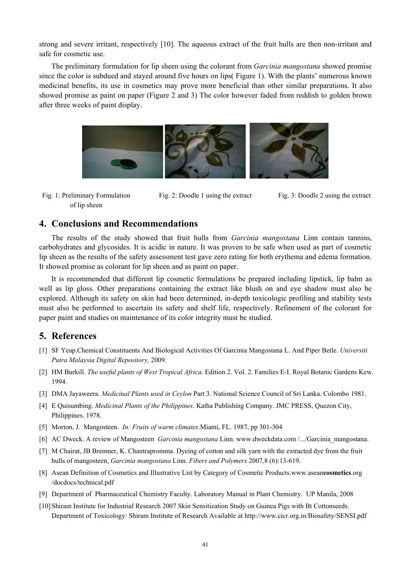strong and severe irritant, respectively [10]. The aqueous extract of the fruit hulls are then non-irritant and safe for cosmetic use.

The preliminary formulation for lip sheen using the colorant from *Garcinia mangostana* showed promise since the color is subdued and stayed around five hours on lips( Figure 1). With the plants' numerous known medicinal benefits, its use in cosmetics may prove more beneficial than other similar preparations. It also showed promise as paint on paper (Figure 2 and 3) The color however faded from reddish to golden brown after three weeks of paint display.



Fig. 1: Preliminary Formulation of lip sheen

Fig. 2: Doodle 1 using the extract Fig. 3: Doodle 2 using the extract

## **4. Conclusions and Recommendations**

The results of the study showed that fruit hulls from *Garcinia mangostana* Linn contain tannins, carbohydrates and glycosides. It is acidic in nature. It was proven to be safe when used as part of cosmetic lip sheen as the results of the safety assessment test gave zero rating for both erythema and edema formation. It showed promise as colorant for lip sheen and as paint on paper.

It is recommended that different lip cosmetic formulations be prepared including lipstick, lip balm as well as lip gloss. Other preparations containing the extract like blush on and eye shadow must also be explored. Although its safety on skin had been determined, in-depth toxicologic profiling and stability tests must also be performed to ascertain its safety and shelf life, respectively. Refinement of the colorant for paper paint and studies on maintenance of its color integrity must be studied.

## **5. References**

- [1] SF Yeap.Chemical Constituents And Biological Activities Of Garcinia Mangostana L. And Piper Betle. *Universiti Putra Malaysia Digital Repository,* 2009.
- [2] HM Burkill. *The useful plants of West Tropical Africa*. Edition 2. Vol. 2. Families E-I. Royal Botanic Gardens Kew. 1994.
- [3] DMA Jayaweera. *Medicinal Plants used in Ceylon* Part 3. National Science Council of Sri Lanka. Colombo 1981.
- [4] E Quisumbing. *Medicinal Plants of the Philippines*. Katha Publishing Company. JMC PRESS, Quezon City, Philippines. 1978.
- [5] Morton, J. Mangosteen*. In: Fruits of warm climates*.Miami, FL. 1987, pp 301-304
- [6] AC Dweck. A review of Mangosteen *Garcinia mangostana* Linn. www.dweckdata.com /.../Garcinia\_mangostana.
- [7] M Chairat, JB Bremner, K. Chantrapromma. Dyeing of cotton and silk yarn with the extracted dye from the fruit hulls of mangosteen, *Garcinia mangostana* Linn. *Fibers and Polymers* 2007*,*8 (6):13-619.
- [8] Asean Definition of Cosmetics and Illustrative List by Category of Cosmetic Products.www.asean**cosmetics**.org /docdocs/technical.pdf
- [9] Department of Pharmaceutical Chemistry Faculty. Laboratory Manual in Plant Chemistry. UP Manila, 2008
- [10]Shiram Institute for Industrial Research 2007 Skin Sensitization Study on Guinea Pigs with Bt Cottonseeds. Department of Toxicology: Shiram Institute of Research Available at http://www.cicr.org.in/Biosafety/SENSI.pdf